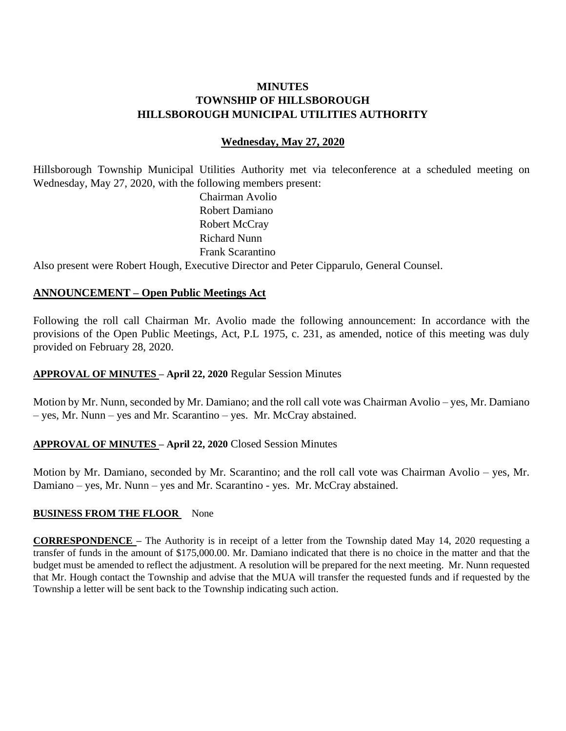# **MINUTES TOWNSHIP OF HILLSBOROUGH HILLSBOROUGH MUNICIPAL UTILITIES AUTHORITY**

### **Wednesday, May 27, 2020**

Hillsborough Township Municipal Utilities Authority met via teleconference at a scheduled meeting on Wednesday, May 27, 2020, with the following members present:

> Chairman Avolio Robert Damiano Robert McCray Richard Nunn Frank Scarantino

Also present were Robert Hough, Executive Director and Peter Cipparulo, General Counsel.

#### **ANNOUNCEMENT – Open Public Meetings Act**

Following the roll call Chairman Mr. Avolio made the following announcement: In accordance with the provisions of the Open Public Meetings, Act, P.L 1975, c. 231, as amended, notice of this meeting was duly provided on February 28, 2020.

#### **APPROVAL OF MINUTES – April 22, 2020** Regular Session Minutes

Motion by Mr. Nunn, seconded by Mr. Damiano; and the roll call vote was Chairman Avolio – yes, Mr. Damiano – yes, Mr. Nunn – yes and Mr. Scarantino – yes. Mr. McCray abstained.

#### **APPROVAL OF MINUTES – April 22, 2020** Closed Session Minutes

Motion by Mr. Damiano, seconded by Mr. Scarantino; and the roll call vote was Chairman Avolio – yes, Mr. Damiano – yes, Mr. Nunn – yes and Mr. Scarantino - yes. Mr. McCray abstained.

#### **BUSINESS FROM THE FLOOR** None

**CORRESPONDENCE –** The Authority is in receipt of a letter from the Township dated May 14, 2020 requesting a transfer of funds in the amount of \$175,000.00. Mr. Damiano indicated that there is no choice in the matter and that the budget must be amended to reflect the adjustment. A resolution will be prepared for the next meeting. Mr. Nunn requested that Mr. Hough contact the Township and advise that the MUA will transfer the requested funds and if requested by the Township a letter will be sent back to the Township indicating such action.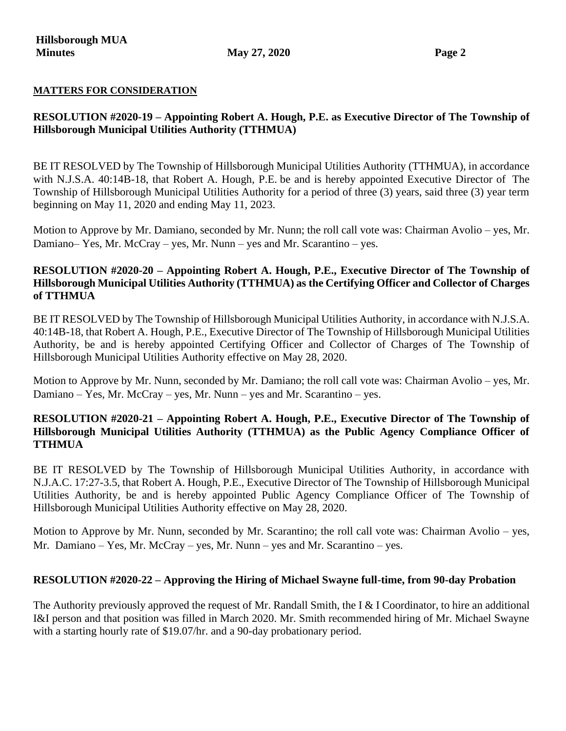#### **MATTERS FOR CONSIDERATION**

# **RESOLUTION #2020-19 – Appointing Robert A. Hough, P.E. as Executive Director of The Township of Hillsborough Municipal Utilities Authority (TTHMUA)**

BE IT RESOLVED by The Township of Hillsborough Municipal Utilities Authority (TTHMUA), in accordance with N.J.S.A. 40:14B-18, that Robert A. Hough, P.E. be and is hereby appointed Executive Director of The Township of Hillsborough Municipal Utilities Authority for a period of three (3) years, said three (3) year term beginning on May 11, 2020 and ending May 11, 2023.

Motion to Approve by Mr. Damiano, seconded by Mr. Nunn; the roll call vote was: Chairman Avolio – yes, Mr. Damiano– Yes, Mr. McCray – yes, Mr. Nunn – yes and Mr. Scarantino – yes.

# **RESOLUTION #2020-20 – Appointing Robert A. Hough, P.E., Executive Director of The Township of Hillsborough Municipal Utilities Authority (TTHMUA) as the Certifying Officer and Collector of Charges of TTHMUA**

BE IT RESOLVED by The Township of Hillsborough Municipal Utilities Authority, in accordance with N.J.S.A. 40:14B-18, that Robert A. Hough, P.E., Executive Director of The Township of Hillsborough Municipal Utilities Authority, be and is hereby appointed Certifying Officer and Collector of Charges of The Township of Hillsborough Municipal Utilities Authority effective on May 28, 2020.

Motion to Approve by Mr. Nunn, seconded by Mr. Damiano; the roll call vote was: Chairman Avolio – yes, Mr. Damiano – Yes, Mr. McCray – yes, Mr. Nunn – yes and Mr. Scarantino – yes.

### **RESOLUTION #2020-21 – Appointing Robert A. Hough, P.E., Executive Director of The Township of Hillsborough Municipal Utilities Authority (TTHMUA) as the Public Agency Compliance Officer of TTHMUA**

BE IT RESOLVED by The Township of Hillsborough Municipal Utilities Authority, in accordance with N.J.A.C. 17:27-3.5, that Robert A. Hough, P.E., Executive Director of The Township of Hillsborough Municipal Utilities Authority, be and is hereby appointed Public Agency Compliance Officer of The Township of Hillsborough Municipal Utilities Authority effective on May 28, 2020.

Motion to Approve by Mr. Nunn, seconded by Mr. Scarantino; the roll call vote was: Chairman Avolio – yes, Mr. Damiano – Yes, Mr. McCray – yes, Mr. Nunn – yes and Mr. Scarantino – yes.

#### **RESOLUTION #2020-22 – Approving the Hiring of Michael Swayne full-time, from 90-day Probation**

The Authority previously approved the request of Mr. Randall Smith, the I & I Coordinator, to hire an additional I&I person and that position was filled in March 2020. Mr. Smith recommended hiring of Mr. Michael Swayne with a starting hourly rate of \$19.07/hr. and a 90-day probationary period.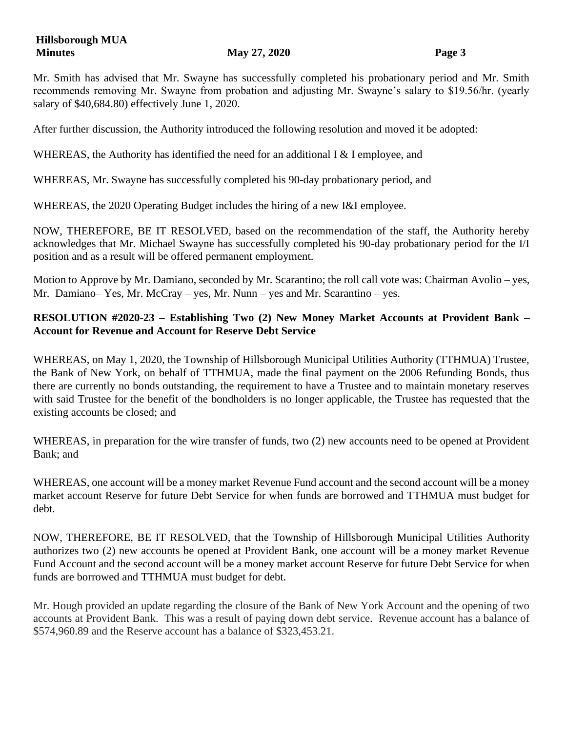Mr. Smith has advised that Mr. Swayne has successfully completed his probationary period and Mr. Smith recommends removing Mr. Swayne from probation and adjusting Mr. Swayne's salary to \$19.56/hr. (yearly salary of \$40,684.80) effectively June 1, 2020.

After further discussion, the Authority introduced the following resolution and moved it be adopted:

WHEREAS, the Authority has identified the need for an additional I  $&$  I employee, and

WHEREAS, Mr. Swayne has successfully completed his 90-day probationary period, and

WHEREAS, the 2020 Operating Budget includes the hiring of a new I&I employee.

NOW, THEREFORE, BE IT RESOLVED, based on the recommendation of the staff, the Authority hereby acknowledges that Mr. Michael Swayne has successfully completed his 90-day probationary period for the I/I position and as a result will be offered permanent employment.

Motion to Approve by Mr. Damiano, seconded by Mr. Scarantino; the roll call vote was: Chairman Avolio – yes, Mr. Damiano– Yes, Mr. McCray – yes, Mr. Nunn – yes and Mr. Scarantino – yes.

# **RESOLUTION #2020-23 – Establishing Two (2) New Money Market Accounts at Provident Bank – Account for Revenue and Account for Reserve Debt Service**

WHEREAS, on May 1, 2020, the Township of Hillsborough Municipal Utilities Authority (TTHMUA) Trustee, the Bank of New York, on behalf of TTHMUA, made the final payment on the 2006 Refunding Bonds, thus there are currently no bonds outstanding, the requirement to have a Trustee and to maintain monetary reserves with said Trustee for the benefit of the bondholders is no longer applicable, the Trustee has requested that the existing accounts be closed; and

WHEREAS, in preparation for the wire transfer of funds, two (2) new accounts need to be opened at Provident Bank; and

WHEREAS, one account will be a money market Revenue Fund account and the second account will be a money market account Reserve for future Debt Service for when funds are borrowed and TTHMUA must budget for debt.

NOW, THEREFORE, BE IT RESOLVED, that the Township of Hillsborough Municipal Utilities Authority authorizes two (2) new accounts be opened at Provident Bank, one account will be a money market Revenue Fund Account and the second account will be a money market account Reserve for future Debt Service for when funds are borrowed and TTHMUA must budget for debt.

Mr. Hough provided an update regarding the closure of the Bank of New York Account and the opening of two accounts at Provident Bank. This was a result of paying down debt service. Revenue account has a balance of \$574,960.89 and the Reserve account has a balance of \$323,453.21.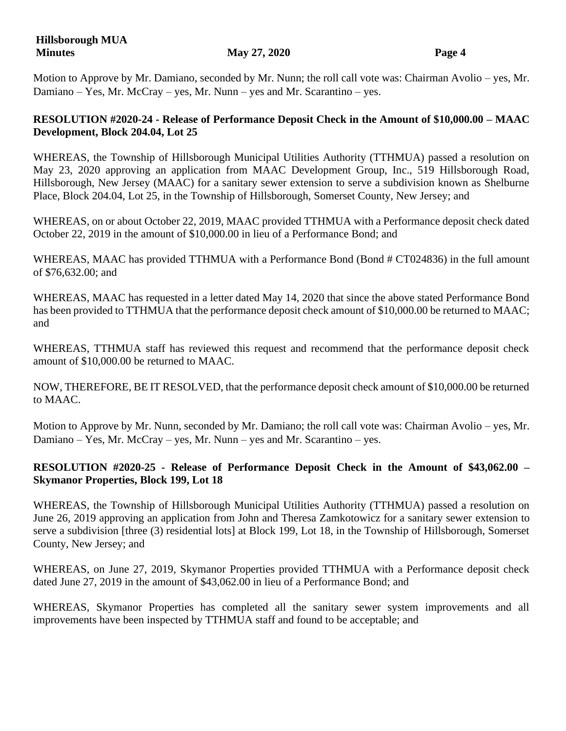Motion to Approve by Mr. Damiano, seconded by Mr. Nunn; the roll call vote was: Chairman Avolio – yes, Mr. Damiano – Yes, Mr. McCray – yes, Mr. Nunn – yes and Mr. Scarantino – yes.

# **RESOLUTION #2020-24 - Release of Performance Deposit Check in the Amount of \$10,000.00 – MAAC Development, Block 204.04, Lot 25**

WHEREAS, the Township of Hillsborough Municipal Utilities Authority (TTHMUA) passed a resolution on May 23, 2020 approving an application from MAAC Development Group, Inc., 519 Hillsborough Road, Hillsborough, New Jersey (MAAC) for a sanitary sewer extension to serve a subdivision known as Shelburne Place, Block 204.04, Lot 25, in the Township of Hillsborough, Somerset County, New Jersey; and

WHEREAS, on or about October 22, 2019, MAAC provided TTHMUA with a Performance deposit check dated October 22, 2019 in the amount of \$10,000.00 in lieu of a Performance Bond; and

WHEREAS, MAAC has provided TTHMUA with a Performance Bond (Bond # CT024836) in the full amount of \$76,632.00; and

WHEREAS, MAAC has requested in a letter dated May 14, 2020 that since the above stated Performance Bond has been provided to TTHMUA that the performance deposit check amount of \$10,000.00 be returned to MAAC; and

WHEREAS, TTHMUA staff has reviewed this request and recommend that the performance deposit check amount of \$10,000.00 be returned to MAAC.

NOW, THEREFORE, BE IT RESOLVED, that the performance deposit check amount of \$10,000.00 be returned to MAAC.

Motion to Approve by Mr. Nunn, seconded by Mr. Damiano; the roll call vote was: Chairman Avolio – yes, Mr. Damiano – Yes, Mr. McCray – yes, Mr. Nunn – yes and Mr. Scarantino – yes.

# **RESOLUTION #2020-25 - Release of Performance Deposit Check in the Amount of \$43,062.00 – Skymanor Properties, Block 199, Lot 18**

WHEREAS, the Township of Hillsborough Municipal Utilities Authority (TTHMUA) passed a resolution on June 26, 2019 approving an application from John and Theresa Zamkotowicz for a sanitary sewer extension to serve a subdivision [three (3) residential lots] at Block 199, Lot 18, in the Township of Hillsborough, Somerset County, New Jersey; and

WHEREAS, on June 27, 2019, Skymanor Properties provided TTHMUA with a Performance deposit check dated June 27, 2019 in the amount of \$43,062.00 in lieu of a Performance Bond; and

WHEREAS, Skymanor Properties has completed all the sanitary sewer system improvements and all improvements have been inspected by TTHMUA staff and found to be acceptable; and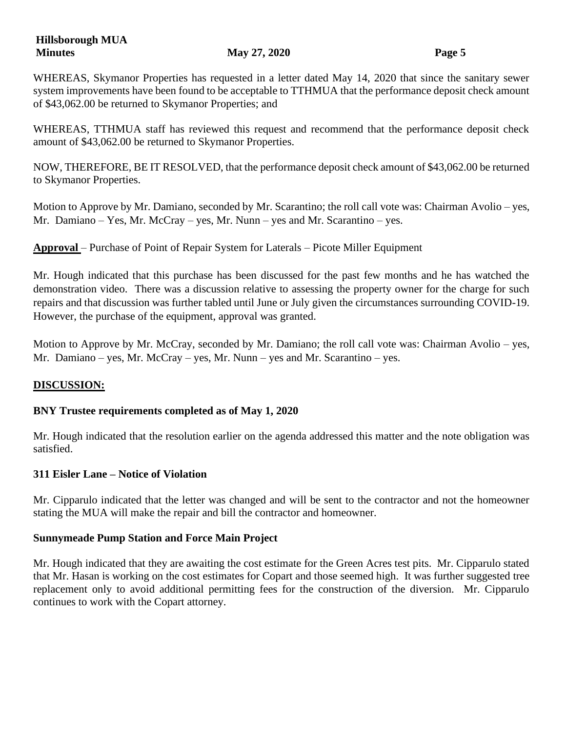WHEREAS, Skymanor Properties has requested in a letter dated May 14, 2020 that since the sanitary sewer system improvements have been found to be acceptable to TTHMUA that the performance deposit check amount of \$43,062.00 be returned to Skymanor Properties; and

WHEREAS, TTHMUA staff has reviewed this request and recommend that the performance deposit check amount of \$43,062.00 be returned to Skymanor Properties.

NOW, THEREFORE, BE IT RESOLVED, that the performance deposit check amount of \$43,062.00 be returned to Skymanor Properties.

Motion to Approve by Mr. Damiano, seconded by Mr. Scarantino; the roll call vote was: Chairman Avolio – yes, Mr. Damiano – Yes, Mr. McCray – yes, Mr. Nunn – yes and Mr. Scarantino – yes.

**Approval** – Purchase of Point of Repair System for Laterals – Picote Miller Equipment

Mr. Hough indicated that this purchase has been discussed for the past few months and he has watched the demonstration video. There was a discussion relative to assessing the property owner for the charge for such repairs and that discussion was further tabled until June or July given the circumstances surrounding COVID-19. However, the purchase of the equipment, approval was granted.

Motion to Approve by Mr. McCray, seconded by Mr. Damiano; the roll call vote was: Chairman Avolio – yes, Mr. Damiano – yes, Mr. McCray – yes, Mr. Nunn – yes and Mr. Scarantino – yes.

# **DISCUSSION:**

# **BNY Trustee requirements completed as of May 1, 2020**

Mr. Hough indicated that the resolution earlier on the agenda addressed this matter and the note obligation was satisfied.

# **311 Eisler Lane – Notice of Violation**

Mr. Cipparulo indicated that the letter was changed and will be sent to the contractor and not the homeowner stating the MUA will make the repair and bill the contractor and homeowner.

# **Sunnymeade Pump Station and Force Main Project**

Mr. Hough indicated that they are awaiting the cost estimate for the Green Acres test pits. Mr. Cipparulo stated that Mr. Hasan is working on the cost estimates for Copart and those seemed high. It was further suggested tree replacement only to avoid additional permitting fees for the construction of the diversion. Mr. Cipparulo continues to work with the Copart attorney.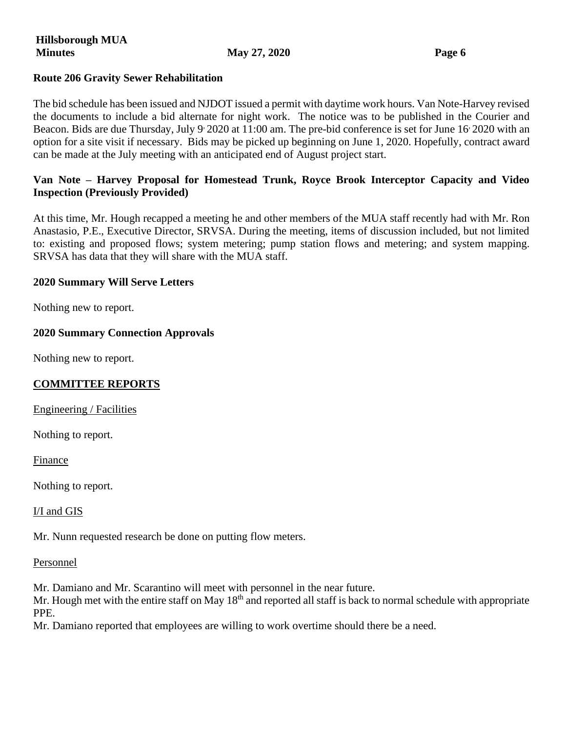#### **Route 206 Gravity Sewer Rehabilitation**

The bid schedule has been issued and NJDOT issued a permit with daytime work hours. Van Note-Harvey revised the documents to include a bid alternate for night work. The notice was to be published in the Courier and Beacon. Bids are due Thursday, July 9<sup>,</sup> 2020 at 11:00 am. The pre-bid conference is set for June 16<sup>,</sup> 2020 with an option for a site visit if necessary. Bids may be picked up beginning on June 1, 2020. Hopefully, contract award can be made at the July meeting with an anticipated end of August project start.

### **Van Note – Harvey Proposal for Homestead Trunk, Royce Brook Interceptor Capacity and Video Inspection (Previously Provided)**

At this time, Mr. Hough recapped a meeting he and other members of the MUA staff recently had with Mr. Ron Anastasio, P.E., Executive Director, SRVSA. During the meeting, items of discussion included, but not limited to: existing and proposed flows; system metering; pump station flows and metering; and system mapping. SRVSA has data that they will share with the MUA staff.

#### **2020 Summary Will Serve Letters**

Nothing new to report.

#### **2020 Summary Connection Approvals**

Nothing new to report.

# **COMMITTEE REPORTS**

Engineering / Facilities

Nothing to report.

Finance

Nothing to report.

I/I and GIS

Mr. Nunn requested research be done on putting flow meters.

Personnel

Mr. Damiano and Mr. Scarantino will meet with personnel in the near future.

Mr. Hough met with the entire staff on May  $18<sup>th</sup>$  and reported all staff is back to normal schedule with appropriate PPE.

Mr. Damiano reported that employees are willing to work overtime should there be a need.